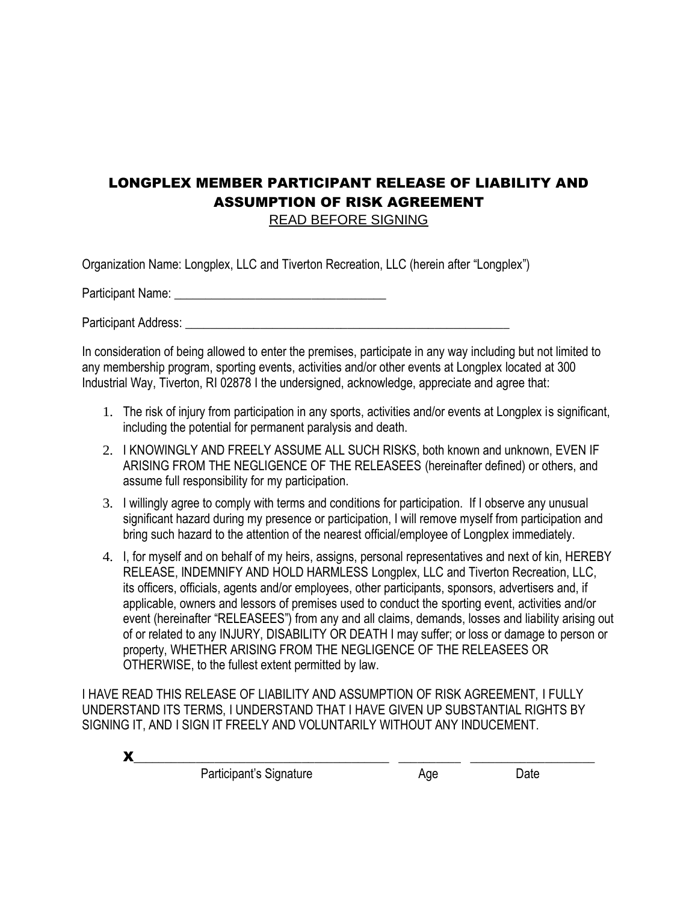## LONGPLEX MEMBER PARTICIPANT RELEASE OF LIABILITY AND ASSUMPTION OF RISK AGREEMENT

READ BEFORE SIGNING

Organization Name: Longplex, LLC and Tiverton Recreation, LLC (herein after "Longplex")

Participant Name: **Example 20** 

Participant Address: **Example 20** For the set of the set of the set of the set of the set of the set of the set of the set of the set of the set of the set of the set of the set of the set of the set of the set of the set

In consideration of being allowed to enter the premises, participate in any way including but not limited to any membership program, sporting events, activities and/or other events at Longplex located at 300 Industrial Way, Tiverton, RI 02878 I the undersigned, acknowledge, appreciate and agree that:

- 1. The risk of injury from participation in any sports, activities and/or events at Longplex is significant, including the potential for permanent paralysis and death.
- 2. I KNOWINGLY AND FREELY ASSUME ALL SUCH RISKS, both known and unknown, EVEN IF ARISING FROM THE NEGLIGENCE OF THE RELEASEES (hereinafter defined) or others, and assume full responsibility for my participation.
- 3. I willingly agree to comply with terms and conditions for participation. If I observe any unusual significant hazard during my presence or participation, I will remove myself from participation and bring such hazard to the attention of the nearest official/employee of Longplex immediately.
- 4. I, for myself and on behalf of my heirs, assigns, personal representatives and next of kin, HEREBY RELEASE, INDEMNIFY AND HOLD HARMLESS Longplex, LLC and Tiverton Recreation, LLC, its officers, officials, agents and/or employees, other participants, sponsors, advertisers and, if applicable, owners and lessors of premises used to conduct the sporting event, activities and/or event (hereinafter "RELEASEES") from any and all claims, demands, losses and liability arising out of or related to any INJURY, DISABILITY OR DEATH I may suffer; or loss or damage to person or property, WHETHER ARISING FROM THE NEGLIGENCE OF THE RELEASEES OR OTHERWISE, to the fullest extent permitted by law.

I HAVE READ THIS RELEASE OF LIABILITY AND ASSUMPTION OF RISK AGREEMENT, I FULLY UNDERSTAND ITS TERMS, I UNDERSTAND THAT I HAVE GIVEN UP SUBSTANTIAL RIGHTS BY SIGNING IT, AND I SIGN IT FREELY AND VOLUNTARILY WITHOUT ANY INDUCEMENT.

| Participant's Signature | Aqe | )ate |
|-------------------------|-----|------|